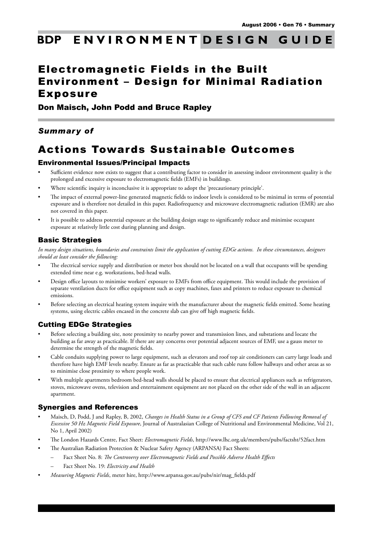#### ENVIRONMENT DESIGN **BDP GUIDE**

# Electromagnetic Fields in the Built Environment – Design for Minimal Radiation Exposure

## Don Maisch, John Podd and Bruce Rapley

# *Summary of*

# Actions Towards Sustainable Outcomes

# Environmental Issues/Principal Impacts

- Sufficient evidence now exists to suggest that a contributing factor to consider in assessing indoor environment quality is the prolonged and excessive exposure to electromagnetic fields (EMFs) in buildings.
- Where scientific inquiry is inconclusive it is appropriate to adopt the 'precautionary principle'.
- The impact of external power-line generated magnetic fields to indoor levels is considered to be minimal in terms of potential exposure and is therefore not detailed in this paper. Radiofrequency and microwave electromagnetic radiation (EMR) are also not covered in this paper.
- It is possible to address potential exposure at the building design stage to significantly reduce and minimise occupant exposure at relatively little cost during planning and design.

# Basic Strategies

*In many design situations, boundaries and constraints limit the application of cutting EDGe actions. In these circumstances, designers should at least consider the following:*

- The electrical service supply and distribution or meter box should not be located on a wall that occupants will be spending extended time near e.g. workstations, bed-head walls.
- Design office layouts to minimise workers' exposure to EMFs from office equipment. This would include the provision of separate ventilation ducts for office equipment such as copy machines, faxes and printers to reduce exposure to chemical emissions.
- Before selecting an electrical heating system inquire with the manufacturer about the magnetic fields emitted. Some heating systems, using electric cables encased in the concrete slab can give off high magnetic fields.

# Cutting EDGe Strategies

- Before selecting a building site, note proximity to nearby power and transmission lines, and substations and locate the building as far away as practicable. If there are any concerns over potential adjacent sources of EMF, use a gauss meter to determine the strength of the magnetic fields.
- Cable conduits supplying power to large equipment, such as elevators and roof top air conditioners can carry large loads and therefore have high EMF levels nearby. Ensure as far as practicable that such cable runs follow hallways and other areas as so to minimise close proximity to where people work.
- With multiple apartments bedroom bed-head walls should be placed to ensure that electrical appliances such as refrigerators, stoves, microwave ovens, television and entertainment equipment are not placed on the other side of the wall in an adjacent apartment.

### Synergies and References

- Maisch, D, Podd, J and Rapley, B, 2002, *Changes in Health Status in a Group of CFS and CF Patients Following Removal of Excessive 50 Hz Magnetic Field Exposure*, Journal of Australasian College of Nutritional and Environmental Medicine, Vol 21, No 1, April 2002)
- The London Hazards Centre, Fact Sheet: *Electromagnetic Fields*, http://www.lhc.org.uk/members/pubs/factsht/52fact.htm
- The Australian Radiation Protection & Nuclear Safety Agency (ARPANSA) Fact Sheets:
	- Fact Sheet No. 8: *The Controversy over Electromagnetic Fields and Possible Adverse Health Effects*
	- Fact Sheet No. 19: Electricity and Health
- • *Measuring Magnetic Fields*, meter hire, http://www.arpansa.gov.au/pubs/nir/mag\_fields.pdf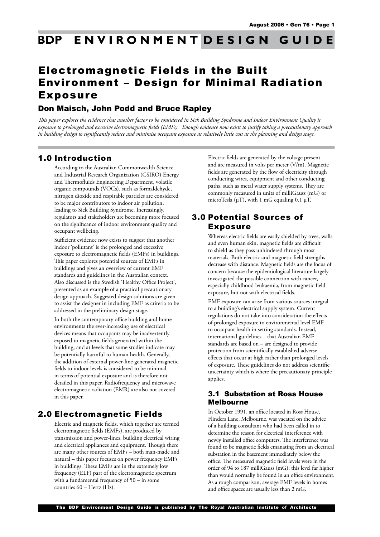#### ENVIRONMENT DESIGN **BDP GUIDE**

# Electromagnetic Fields in the Built Environment – Design for Minimal Radiation Exposure

# Don Maisch, John Podd and Bruce Rapley

*This paper explores the evidence that another factor to be considered in Sick Building Syndrome and Indoor Environment Quality is exposure to prolonged and excessive electromagnetic fields (EMFs). Enough evidence now exists to justify taking a precautionary approach in building design to significantly reduce and minimise occupant exposure at relatively little cost at the planning and design stage.* 

# 1.0 Introduction

According to the Australian Commonwealth Science and Industrial Research Organization (CSIRO) Energy and Thermofluids Engineering Department, volatile organic compounds (VOCs), such as formaldehyde, nitrogen dioxide and respirable particles are considered to be major contributors to indoor air pollution, leading to Sick Building Syndrome. Increasingly, regulators and stakeholders are becoming more focused on the significance of indoor environment quality and occupant wellbeing.

Sufficient evidence now exists to suggest that another indoor 'pollutant' is the prolonged and excessive exposure to electromagnetic fields (EMFs) in buildings. This paper explores potential sources of EMFs in buildings and gives an overview of current EMF standards and guidelines in the Australian context. Also discussed is the Swedish 'Healthy Office Project', presented as an example of a practical precautionary design approach. Suggested design solutions are given to assist the designer in including EMF as criteria to be addressed in the preliminary design stage.

In both the contemporary office building and home environments the ever-increasing use of electrical devices means that occupants may be inadvertently exposed to magnetic fields generated within the building, and at levels that some studies indicate may be potentially harmful to human health. Generally, the addition of external power-line generated magnetic fields to indoor levels is considered to be minimal in terms of potential exposure and is therefore not detailed in this paper. Radiofrequency and microwave electromagnetic radiation (EMR) are also not covered in this paper.

# 2.0 Electromagnetic Fields

Electric and magnetic fields, which together are termed electromagnetic fields (EMFs), are produced by transmission and power-lines, building electrical wiring and electrical appliances and equipment. Though there are many other sources of EMFs – both man-made and natural – this paper focuses on power frequency EMFs in buildings. These EMFs are in the extremely low frequency (ELF) part of the electromagnetic spectrum with a fundamental frequency of 50 – in some countries  $60 -$  Hertz (Hz).

Electric fields are generated by the voltage present and are measured in volts per meter (V/m). Magnetic fields are generated by the flow of electricity through conducting wires, equipment and other conducting paths, such as metal water supply systems. They are commonly measured in units of milliGauss (mG) or microTesla ( $\mu$ T), with 1 mG equaling 0.1  $\mu$ T.

# 3.0 Potential Sources of Exposure

Whereas electric fields are easily shielded by trees, walls and even human skin, magnetic fields are difficult to shield as they pass unhindered through most materials. Both electric and magnetic field strengths decrease with distance. Magnetic fields are the focus of concern because the epidemiological literature largely investigated the possible connection with cancer, especially childhood leukaemia, from magnetic field exposure, but not with electrical fields.

EMF exposure can arise from various sources integral to a building's electrical supply system. Current regulations do not take into consideration the effects of prolonged exposure to environmental level EMF to occupant health in setting standards. Instead, international guidelines – that Australian EMF standards are based on – are designed to provide protection from scientifically established adverse effects that occur at high rather than prolonged levels of exposure. These guidelines do not address scientific uncertainty which is where the precautionary principle applies.

### 3.1 Substation at Ross House Melbourne

In October 1991, an office located in Ross House, Flinders Lane, Melbourne, was vacated on the advice of a building consultant who had been called in to determine the reason for electrical interference with newly installed office computers. The interference was found to be magnetic fields emanating from an electrical substation in the basement immediately below the office. The measured magnetic field levels were in the order of 94 to 187 milliGauss (mG); this level far higher than would normally be found in an office environment. As a rough comparison, average EMF levels in homes and office spaces are usually less than 2 mG.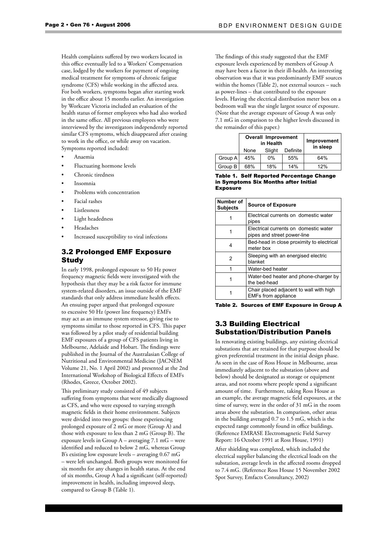Health complaints suffered by two workers located in this office eventually led to a Workers' Compensation case, lodged by the workers for payment of ongoing medical treatment for symptoms of chronic fatigue syndrome (CFS) while working in the affected area. For both workers, symptoms began after starting work in the office about 15 months earlier. An investigation by Workcare Victoria included an evaluation of the health status of former employees who had also worked in the same office. All previous employees who were interviewed by the investigators independently reported similar CFS symptoms, which disappeared after ceasing to work in the office, or while away on vacation. Symptoms reported included:

- Anaemia
- Fluctuating hormone levels
- Chronic tiredness
- Insomnia
- Problems with concentration
- Facial rashes
- Listlessness
- Light headedness
- Headaches
- Increased susceptibility to viral infections

### 3.2 Prolonged EMF Exposure Study

In early 1998, prolonged exposure to 50 Hz power frequency magnetic fields were investigated with the hypothesis that they may be a risk factor for immune system-related disorders, an issue outside of the EMF standards that only address immediate health effects. An ensuing paper argued that prolonged exposure to excessive 50 Hz (power line frequency) EMFs may act as an immune system stressor, giving rise to symptoms similar to those reported in CFS. This paper was followed by a pilot study of residential building EMF exposures of a group of CFS patients living in Melbourne, Adelaide and Hobart. The findings were published in the Journal of the Australasian College of Nutritional and Environmental Medicine (JACNEM Volume 21, No. 1 April 2002) and presented at the 2nd International Workshop of Biological Effects of EMFs (Rhodes, Greece, October 2002).

This preliminary study consisted of 49 subjects suffering from symptoms that were medically diagnosed as CFS, and who were exposed to varying strength magnetic fields in their home environment. Subjects were divided into two groups: those experiencing prolonged exposure of 2 mG or more (Group A) and those with exposure to less than 2 mG (Group B). The exposure levels in Group A – averaging 7.1 mG – were identified and reduced to below 2 mG, whereas Group B's existing low exposure levels – averaging 0.67 mG – were left unchanged. Both groups were monitored for six months for any changes in health status. At the end of six months, Group A had a significant (self-reported) improvement in health, including improved sleep, compared to Group B (Table 1).

The findings of this study suggested that the EMF exposure levels experienced by members of Group A may have been a factor in their ill-health. An interesting observation was that it was predominantly EMF sources within the homes (Table 2), not external sources – such as power-lines – that contributed to the exposure levels. Having the electrical distribution meter box on a bedroom wall was the single largest source of exposure. (Note that the average exposure of Group A was only 7.1 mG in comparison to the higher levels discussed in the remainder of this paper.)

|         | <b>Overall Improvement</b><br>in Health |        |          | Improvement<br>in sleep |
|---------|-----------------------------------------|--------|----------|-------------------------|
|         | None                                    | Slight | Definite |                         |
| Group A | 45%                                     | $0\%$  | 55%      | 64%                     |
| Group B | 68%                                     | 18%    | 14%      | 12%                     |

#### Table 1. Self Reported Percentage Change in Symptoms Six Months after Initial **Exposure**

| Number of<br><b>Subjects</b> | <b>Source of Exposure</b>                                             |  |
|------------------------------|-----------------------------------------------------------------------|--|
|                              | Electrical currents on domestic water<br>pipes                        |  |
|                              | Electrical currents on domestic water<br>pipes and street power-line  |  |
| 4                            | Bed-head in close proximity to electrical<br>meter box                |  |
| 2                            | Sleeping with an energised electric<br>blanket                        |  |
|                              | Water-bed heater                                                      |  |
| 1                            | Water-bed heater and phone-charger by<br>the bed-head                 |  |
|                              | Chair placed adjacent to wall with high<br><b>EMFs from appliance</b> |  |

Table 2. Sources of EMF Exposure in Group A

#### 3.3 Building Electrical Substation/Distribution Panels

In renovating existing buildings, any existing electrical substations that are retained for that purpose should be given preferential treatment in the initial design phase. As seen in the case of Ross House in Melbourne, areas immediately adjacent to the substation (above and below) should be designated as storage or equipment areas, and not rooms where people spend a significant amount of time. Furthermore, taking Ross House as an example, the average magnetic field exposures, at the time of survey, were in the order of 31 mG in the room areas above the substation. In comparison, other areas in the building averaged 0.7 to 1.5 mG, which is the expected range commonly found in office buildings. (Reference EMRASE Electromagnetic Field Survey Report: 16 October 1991 at Ross House, 1991)

After shielding was completed, which included the electrical supplier balancing the electrical loads on the substation, average levels in the affected rooms dropped to 7.4 mG. (Reference Ross House 15 November 2002 Spot Survey, Emfacts Consultancy, 2002)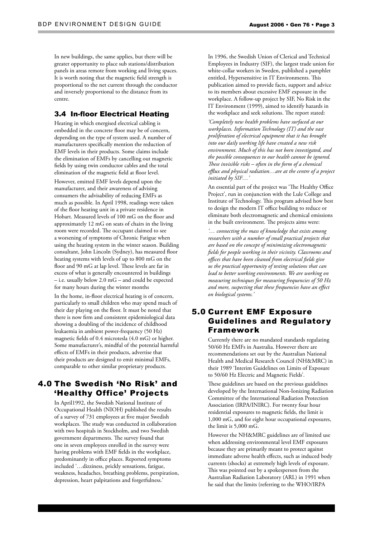In new buildings, the same applies, but there will be greater opportunity to place sub stations/distribution panels in areas remote from working and living spaces. It is worth noting that the magnetic field strength is proportional to the net current through the conductor and inversely proportional to the distance from its centre.

#### 3.4 In-floor Electrical Heating

Heating in which energised electrical cabling is embedded in the concrete floor may be of concern, depending on the type of system used. A number of manufacturers specifically mention the reduction of EMF levels in their products. Some claims include the elimination of EMFs by cancelling out magnetic fields by using twin conductor cables and the total elimination of the magnetic field at floor level.

However, emitted EMF levels depend upon the manufacturer, and their awareness of advising consumers the advisability of reducing EMFs as much as possible. In April 1998, readings were taken of the floor heating unit in a private residence in Hobart. Measured levels of 100 mG on the floor and approximately 12 mG on seats of chairs in the living room were recorded. The occupant claimed to see a worsening of symptoms of Chronic Fatigue when using the heating system in the winter season. Building consultant, John Lincoln (Sydney), has measured floor heating systems with levels of up to 800 mG on the floor and 90 mG at lap level. These levels are far in excess of what is generally encountered in buildings – i.e. usually below 2.0 mG – and could be expected for many hours during the winter months

In the home, in-floor electrical heating is of concern, particularly to small children who may spend much of their day playing on the floor. It must be noted that there is now firm and consistent epidemiological data showing a doubling of the incidence of childhood leukaemia in ambient power-frequency (50 Hz) magnetic fields of 0.4 microtesla (4.0 mG) or higher. Some manufacturer's, mindful of the potential harmful effects of EMFs in their products, advertise that their products are designed to emit minimal EMFs, comparable to other similar proprietary products.

# 4.0 The Swedish 'No Risk' and 'Healthy Office' Projects

In April1992, the Swedish National Institute of Occupational Health (NIOH) published the results of a survey of 731 employees at five major Swedish workplaces. The study was conducted in collaboration with two hospitals in Stockholm, and two Swedish government departments. The survey found that one in seven employees enrolled in the survey were having problems with EMF fields in the workplace, predominantly in office places. Reported symptoms included '…dizziness, prickly sensations, fatigue, weakness, headaches, breathing problems, perspiration, depression, heart palpitations and forgetfulness.'

In 1996, the Swedish Union of Clerical and Technical Employees in Industry (SIF), the largest trade union for white-collar workers in Sweden, published a pamphlet entitled, Hypersensitive in IT Environments. This publication aimed to provide facts, support and advice to its members about excessive EMF exposure in the workplace. A follow-up project by SIF, No Risk in the IT Environment (1999), aimed to identify hazards in the workplace and seek solutions. The report stated:

*'Completely new health problems have surfaced at our workplaces. Information Technology (IT) and the vast proliferation of electrical equipment that it has brought into our daily working life have created a new risk environment. Much of this has not been investigated, and the possible consequences to our health cannot be ignored. These invisible risks – often in the form of a chemical efflux and physical radiation…are at the centre of a project initiated by SIF…'* 

An essential part of the project was 'The Healthy Office Project', run in conjunction with the Lule College and Institute of Technology. This program advised how best to design the modern IT office building to reduce or eliminate both electromagnetic and chemical emissions in the built environment. The projects aims were:

*'… connecting the mass of knowledge that exists among researchers with a number of small practical projects that are based on the concept of minimizing electromagnetic fields for people working in their vicinity. Classrooms and offices that have been cleaned from electrical fields give us the practical opportunity of testing solutions that can lead to better working environments. We are working on measuring techniques for measuring frequencies of 50 Hz and more, suspecting that these frequencies have an effect on biological systems.'* 

# 5.0 Current EMF Exposure Guidelines and Regulatory Framework

Currently there are no mandated standards regulating 50/60 Hz EMFs in Australia. However there are recommendations set out by the Australian National Health and Medical Research Council (NH&MRC) in their 1989 'Interim Guidelines on Limits of Exposure to 50/60 Hz Electric and Magnetic Fields'.

These guidelines are based on the previous guidelines developed by the International Non-Ionizing Radiation Committee of the International Radiation Protection Association (IRPA/INIRC). For twenty four hour residential exposures to magnetic fields, the limit is 1,000 mG, and for eight hour occupational exposures, the limit is 5,000 mG.

However the NH&MRC guidelines are of limited use when addressing environmental level EMF exposures because they are primarily meant to protect against immediate adverse health effects, such as induced body currents (shocks) at extremely high levels of exposure. This was pointed out by a spokesperson from the Australian Radiation Laboratory (ARL) in 1991 when he said that the limits (referring to the WHO/IRPA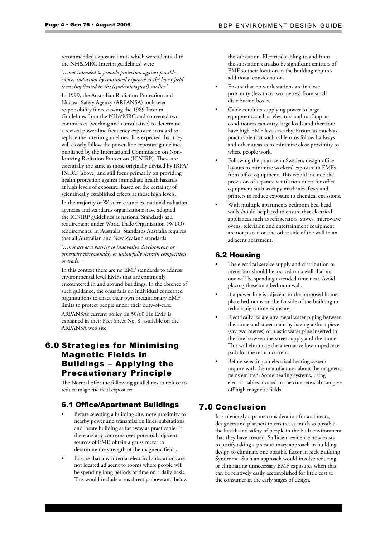recommended exposure limits which were identical to the NH&MRC Interim guidelines) were

*'…not intended to provide protection against possible cancer induction by continued exposure at the lower field levels implicated in the (epidemiological) studies.'*

In 1999, the Australian Radiation Protection and Nuclear Safety Agency (ARPANSA) took over responsibility for reviewing the 1989 Interim Guidelines from the NH&MRC and convened two committees (working and consultative) to determine a revised power-line frequency exposure standard to replace the interim guidelines. It is expected that they will closely follow the power-line exposure guidelines published by the International Commission on Non-Ionizing Radiation Protection (ICNIRP). These are essentially the same as those originally devised by IRPA/ INIRC (above) and still focus primarily on providing health protection against immediate health hazards at high levels of exposure, based on the certainty of scientifically established effects at those high levels. In the majority of Western countries, national radiation agencies and standards organisations have adopted the ICNIRP guidelines as national Standards as a requirement under World Trade Organisation (WTO) requirements. In Australia, Standards Australia requires that all Australian and New Zealand standards

*'…not act as a barrier to innovative development, or otherwise unreasonably or unlawfully restrain competition or trade.'*

In this context there are no EMF standards to address environmental level EMFs that are commonly encountered in and around buildings. In the absence of such guidance, the onus falls on individual concerned organisations to enact their own precautionary EMF limits to protect people under their duty-of-care. ARPANSA's current policy on 50/60 Hz EMF is explained in their Fact Sheet No. 8, available on the ARPANSA web site.

# 6.0 Strategies for Minimising Magnetic Fields in Buildings – Applying the Precautionary Principle

The Normal offer the following guidlelines to reduce to reduce magnetic field exposure:

#### 6.1 Office/Apartment Buildings

- Before selecting a building site, note proximity to nearby power and transmission lines, substations and locate building as far away as practicable. If there are any concerns over potential adjacent sources of EMF, obtain a gauss meter to determine the strength of the magnetic fields.
- Ensure that any internal electrical substations are not located adjacent to rooms where people will be spending long periods of time on a daily basis. This would include areas directly above and below

the substation. Electrical cabling to and from the substation can also be significant emitters of EMF so their location in the building requires additional consideration.

- Ensure that no work-stations are in close proximity (less than two metres) from small distribution boxes.
- Cable conduits supplying power to large equipment, such as elevators and roof top air conditioners can carry large loads and therefore have high EMF levels nearby. Ensure as much as practicable that such cable runs follow hallways and other areas as to minimize close proximity to where people work.
- Following the practice in Sweden, design office layouts to minimize workers' exposure to EMFs from office equipment. This would include the provision of separate ventilation ducts for office equipment such as copy machines, faxes and printers to reduce exposure to chemical emissions.
- With multiple apartments bedroom bed-head walls should be placed to ensure that electrical appliances such as refrigerators, stoves, microwave ovens, television and entertainment equipment are not placed on the other side of the wall in an adjacent apartment.

#### 6.2 Housing

- The electrical service supply and distribution or meter box should be located on a wall that no one will be spending extended time near. Avoid placing these on a bedroom wall.
- If a power-line is adjacent to the proposed home, place bedrooms on the far side of the building to reduce night time exposure.
- Electrically isolate any metal water piping between the home and street main by having a short piece (say two metres) of plastic water pipe inserted in the line between the street supply and the home. This will eliminate the alternative low-impedance path for the return current.
- Before selecting an electrical heating system inquire with the manufacturer about the magnetic fields emitted. Some heating systems, using electric cables incased in the concrete slab can give off high magnetic fields.

#### 7.0 Conclusion

It is obviously a prime consideration for architects, designers and planners to ensure, as much as possible, the health and safety of people in the built environment that they have created. Sufficient evidence now exists to justify taking a precautionary approach in building design to eliminate one possible factor in Sick Building Syndrome. Such an approach would involve reducing or eliminating unnecessary EMF exposures when this can be relatively easily accomplished for little cost to the consumer in the early stages of design.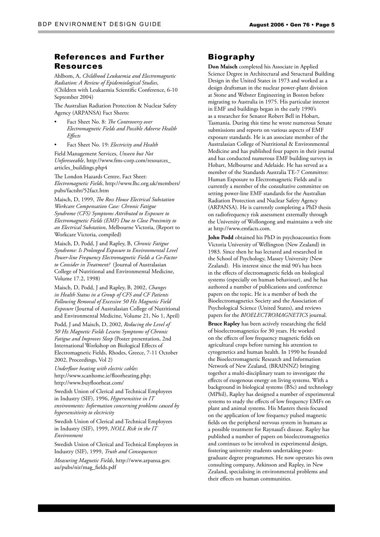### References and Further Resources

Ahlbom, A, *Childhood Leukaemia and Electromagnetic Radiation: A Review of Epidemiological Studies*, (Children with Leukaemia Scientific Conference, 6-10 September 2004)

The Australian Radiation Protection & Nuclear Safety Agency (ARPANSA) Fact Sheets:

- Fact Sheet No. 8: *The Controversy over Electromagnetic Fields and Possible Adverse Health Effects*
- Fact Sheet No. 19: *Electricity and Health*

Field Management Services, *Unseen but Not Unforeseeable*, http://www.fms-corp.com/resources\_ articles\_buildings.php4

The London Hazards Centre, Fact Sheet: *Electromagnetic Fields*, http://www.lhc.org.uk/members/ pubs/factsht/52fact.htm

Maisch, D, 1999, *The Ross House Electrical Substation Workcare Compensation Case: Chronic Fatigue Syndrome (CFS) Symptoms Attributed to Exposure to Electromagnetic Fields (EMF) Due to Close Proximity to an Electrical Substation*, Melbourne Victoria, (Report to Workcare Victoria, compiled)

Maisch, D, Podd, J and Rapley, B, *Chronic Fatigue Syndrome: Is Prolonged Exposure to Environmental Level Power-line Frequency Electromagnetic Fields a Co-Factor to Consider in Treatment?* (Journal of Australasian College of Nutritional and Environmental Medicine, Volume 17.2, 1998)

Maisch, D, Podd, J and Rapley, B, 2002, *Changes in Health Status in a Group of CFS and CF Patients Following Removal of Excessive 50 Hz Magnetic Field Exposure* (Journal of Australasian College of Nutritional and Environmental Medicine, Volume 21, No 1, April)

Podd, J and Maisch, D, 2002, *Reducing the Level of 50 Hz Magnetic Fields Lessens Symptoms of Chronic Fatigue and Improves Sleep* (Poster presentation, 2nd International Workshop on Biological Effects of Electromagnetic Fields, Rhodes, Greece, 7-11 October 2002, Proceedings, Vol 2)

*Underfloor heating with electric cables*: http://www.scanhome.ie/floorheating.php; http://www.buyfloorheat.com/

Swedish Union of Clerical and Technical Employees in Industry (SIF), 1996, *Hypersensitive in IT environments: Information concerning problems caused by hypersensitivity to electricity*

Swedish Union of Clerical and Technical Employees in Industry (SIF), 1999, *NOLL Risk in the IT Environment*

Swedish Union of Clerical and Technical Employees in Industry (SIF), 1999, *Truth and Consequences*

*Measuring Magnetic Fields*, http://www.arpansa.gov. au/pubs/nir/mag\_fields.pdf

### Biography

**Don Maisch** completed his Associate in Applied Science Degree in Architectural and Structural Building Design in the United States in 1973 and worked as a design draftsman in the nuclear power-plant division at Stone and Webster Engineering in Boston before migrating to Australia in 1975. His particular interest in EMF and buildings began in the early 1990's as a researcher for Senator Robert Bell in Hobart, Tasmania. During this time he wrote numerous Senate submissions and reports on various aspects of EMF exposure standards. He is an associate member of the Australasian College of Nutritional & Environmental Medicine and has published four papers in their journal and has conducted numerous EMF building surveys in Hobart, Melbourne and Adelaide. He has served as a member of the Standards Australia TE-7 Committee: Human Exposure to Electromagnetic Fields and is currently a member of the consultative committee on setting power-line EMF standards for the Australian Radiation Protection and Nuclear Safety Agency (ARPANSA). He is currently completing a PhD thesis on radiofrequency risk assessment externally through the University of Wollongong and maintains a web site at http://www.emfacts.com.

**John Podd** obtained his PhD in psychoacoustics from Victoria University of Wellington (New Zealand) in 1983. Since then he has lectured and researched in the School of Psychology, Massey University (New Zealand). His interest since the mid 90's has been in the effects of electromagnetic fields on biological systems (especially on human behaviour), and he has authored a number of publications and conference papers on the topic. He is a member of both the Bioelectromagnetics Society and the Association of Psychological Science (United States), and reviews papers for the *BIOELECTROMAGNETICS* journal.

**Bruce Rapley** has been actively researching the field of bioelectromagnetics for 30 years. He worked on the effects of low frequency magnetic fields on agricultural crops before turning his attention to cytogenetics and human health. In 1990 he founded the Bioelectromagnetic Research and Information Network of New Zealand, (BRAINNZ) bringing together a multi-disciplinary team to investigate the effects of exogenous energy on living systems. With a background in biological systems (BSc) and technology (MPhil), Rapley has designed a number of experimental systems to study the effects of low frequency EMFs on plant and animal systems. His Masters thesis focused on the application of low frequency pulsed magnetic fields on the peripheral nervous system in humans as a possible treatment for Raynaud's disease. Rapley has published a number of papers on bioelectromagnetics and continues to be involved in experimental design, fostering university students undertaking postgraduate degree programmes. He now operates his own consulting company, Atkinson and Rapley, in New Zealand, specialising in environmental problems and their effects on human communities.